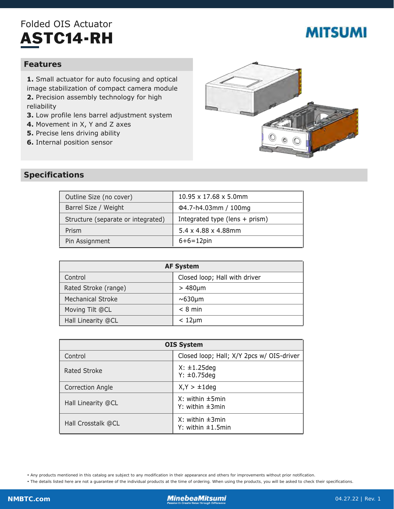## Folded OIS Actuator ASTC14-RH

# **MITSUMI**

#### **Features**

**1.** Small actuator for auto focusing and optical image stabilization of compact camera module **2.** Precision assembly technology for high reliability

- **3.** Low profile lens barrel adjustment system
- **4.** Movement in X, Y and Z axes
- **5.** Precise lens driving ability
- **6.** Internal position sensor



#### **Specifications**

| Outline Size (no cover)            | 10.95 x 17.68 x 5.0mm            |
|------------------------------------|----------------------------------|
| Barrel Size / Weight               | Φ4.7-h4.03mm / 100mg             |
| Structure (separate or integrated) | Integrated type (lens $+$ prism) |
| Prism                              | 5.4 x 4.88 x 4.88mm              |
| Pin Assignment                     | $6+6=12$ pin                     |

| <b>AF System</b>         |                               |  |
|--------------------------|-------------------------------|--|
| Control                  | Closed loop; Hall with driver |  |
| Rated Stroke (range)     | $>480 \mu m$                  |  |
| <b>Mechanical Stroke</b> | $\sim 630 \mu m$              |  |
| Moving Tilt @CL          | $< 8$ min                     |  |
| Hall Linearity @CL       | $< 12 \mu m$                  |  |

| <b>OIS System</b>       |                                                    |
|-------------------------|----------------------------------------------------|
| Control                 | Closed loop; Hall; X/Y 2pcs w/ OIS-driver          |
| Rated Stroke            | $X: \pm 1.25$ deg<br>$Y: \pm 0.75$ deg             |
| <b>Correction Angle</b> | $X,Y > \pm 1$ deg                                  |
| Hall Linearity @CL      | $X:$ within $\pm$ 5min<br>Y: within $\pm 3$ min    |
| Hall Crosstalk @CL      | $X:$ within $\pm 3$ min<br>Y: within $\pm 1.5$ min |

• Any products mentioned in this catalog are subject to any modification in their appearance and others for improvements without prior notification.

• The details listed here are not a guarantee of the individual products at the time of ordering. When using the products, you will be asked to check their specifications.